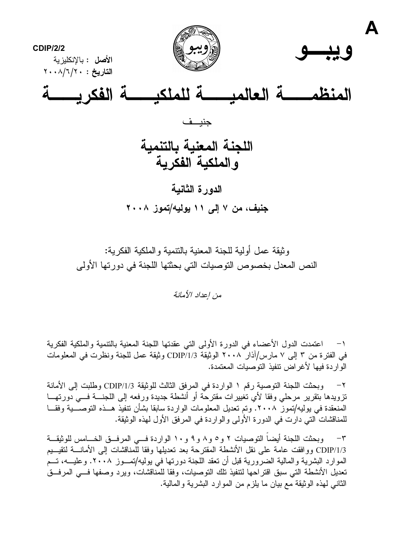

وثبقة عمل أولبة للجنة المعنبة بالتنمبة والملكبة الفكر بة: النص المعدل بخصوص النوصيات التي بحثتها اللجنة في دورتها الأولى

## من إعداد الأمانة

اعتمدت الدول الأعضاء في الدورة الأولى التي عقدتها اللجنة المعنية بالتنمية والملكية الفكرية  $-1$ في الفترة من ٣ إلى ٧ مارس/آذار ٢٠٠٨ الوثيقة 3/CDIP وثيقة عمل للجنة ونظرت في المعلومات الوار دة فيها لأغر اض تنفيذ النوصيات المعتمدة.

وبحثت اللجنة التوصية رقم ١ الواردة في المرفق الثالث للوثيقة CDIP/1/3 وطلبت إلى الأمانة  $-\tau$ تزويدها بتقرير مرحلي وفقا لأي تغييرات مقترحَّة أو أنشطة جديدة ورفعه إلى اللجنـــة فـــي دورتهـــا المنعقدة في يوليه/تموز ٢٠٠٨. وتم تعديل المعلومات الوار دة سابقا بشأن تتفيذ هــذه التوصـــية وفقــا للمناقشات التي دارت في الدورة الأولى والواردة في المرفق الأول لهذه الوثيقة.

وبحثت اللجنة أيضاً التوصيات ٢ و ٥ و ٨ و ٩ و ١٠ الو ار دة فـــ المر فـــق الخـــامس للوثيقـــة  $-\tau$ CDIP/1/3 ووافقت عامة على نقل الأنشطة المقترحة بعد تعديلها وفقا للَّمناقشات إلى الأمانــــة لتقيـــيم الموارد البشرية والمالية الضرورية قبل أن تعقد اللجنة دورتها في يوليه/تمــوز ٢٠٠٨. وعليـــه، تــم تعديل الأنشطة التي سبق اقتراحها لتنفيذ تلك التوصيات، وفقا للمناقشات، ويرد وصفها فسي المرفق الثانبي لهذه الوثيقة مع بيان ما يلزم من الموارد البشرية والمالية.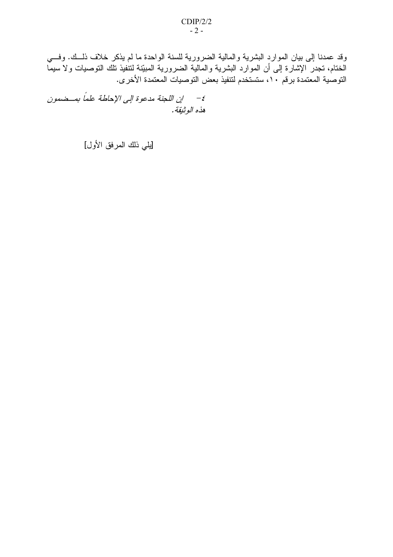وقد عمدنا إلى بيان الموارد البشرية والمالية الضرورية للسنة الواحدة ما لم يذكر خلاف ذلــك. وفـــي الختام، تجدر الإشارة إلى أن الموارد البشرية والمالية الضرورية المبيّنة لتنفيذ تلك التوصيات ولا سيمًا التوصية المعتمدة برقم ١٠، ستستخدم لتتفيذ بعض التوصيات المعتمدة الأخرى.

٤- - إن اللجنة مدعوة إلى الإحاطة علماً بمــضمون هذه الوثيقة.

[يلمي ذلك المرفق الأول]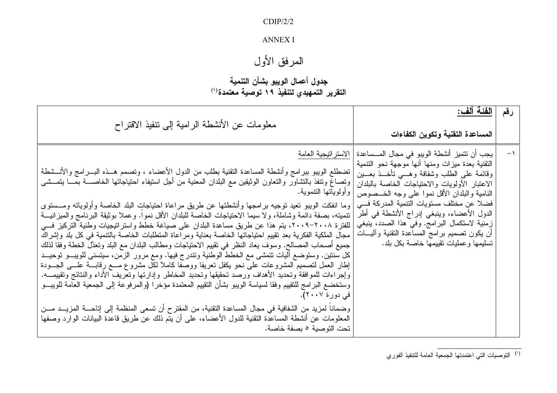#### $CDIP/2/2$

#### **ANNEX I**

## المرفق الأول

## جدول أعمال الويبو بشأن التنمية

## التقرير التمهيدي لتنفيذ ١٩ توصية معتمدة'')

| معلومات عن الأنشطة الرامية إلىي تنفيذ الاقتراح                                                                                                                                                                                                                                                                                                                                                                                                                                                                                                                                                                                                                                                                                                                                                                                                                                                                                                                                                                                                                                                                                                                                                                                                                                                                                                                                                                                                                                                                                                        | الفئة ألف:                                                                                                                                                                                                                                                                                                                                                                                                                                                                                 | رقم  |
|-------------------------------------------------------------------------------------------------------------------------------------------------------------------------------------------------------------------------------------------------------------------------------------------------------------------------------------------------------------------------------------------------------------------------------------------------------------------------------------------------------------------------------------------------------------------------------------------------------------------------------------------------------------------------------------------------------------------------------------------------------------------------------------------------------------------------------------------------------------------------------------------------------------------------------------------------------------------------------------------------------------------------------------------------------------------------------------------------------------------------------------------------------------------------------------------------------------------------------------------------------------------------------------------------------------------------------------------------------------------------------------------------------------------------------------------------------------------------------------------------------------------------------------------------------|--------------------------------------------------------------------------------------------------------------------------------------------------------------------------------------------------------------------------------------------------------------------------------------------------------------------------------------------------------------------------------------------------------------------------------------------------------------------------------------------|------|
|                                                                                                                                                                                                                                                                                                                                                                                                                                                                                                                                                                                                                                                                                                                                                                                                                                                                                                                                                                                                                                                                                                                                                                                                                                                                                                                                                                                                                                                                                                                                                       | المساعدة التقنية وتكوين الكفاءات                                                                                                                                                                                                                                                                                                                                                                                                                                                           |      |
| الاستر اتيجية العامة<br>تضطلع الويبو ببرامج وأنشطة المساعدة النقنية بطلب من الدول الأعضاء ، وتصمم هــذه البـــرامج والأنـــشطة<br>ونصاغ ونتفذ بالنشاور والنعاون الوثيقين مع البلدان المعنية من أجل استيفاء احتياجاتها الخاصــــة بمّـــا يتمـــشي<br> وأولوياتها التنموية.<br>وما انفكت الويبو نعيد نوجيه برامجها وأنشطتها عن طريق مراعاة احتياجات البلد الخاصة وأولوياته ومـــستوى<br>تنميته، بصفة دائمة وشاملة، ولا سيما الاحتياجات الخاصة للبلدان الأقل نموًا. وعملًا بوثيقة البرنامج والميزانيـــة<br>للفترة ٢٠٠٨-٢٠٠٩، يتم هذا عن طريق مساعدة البلدان على صياغة خطط واستراتيجيات وطنية التركيز فـــي<br>مجال الملكية الفكرية بعد نقييم احتياجاتها الخاصة بعناية ومراعاة المتطلبات الخاصة بالتتمية في كل بلد وإشراك<br>جميع أصـحاب المصـالـح. وسوف يعاد النظر في نقييم الاحتياجات ومطـالب البلدان مـع البلد وتـعدَّل الـخطـة وفقا لذلك<br>كل سنتين. وستوضع أليات نتمشى مع الخطط الوطنية ونتدرج فيها. ومع مرور الزمن، سيتسنى للويبـــو توحيـــد<br>إطار العمل لتصميم المشروعات على نحو يكفل تعريفا ووصفا كاملا لكل مشروع مسع رقابسة علسى الجسودة<br>وإجراءات للموافقة وتحديد الأهداف ورصد تحقيقها وتحديد المخاطر وإدارتها وتعريف الأداء والنتائج وتقييمـــه.<br>وستخضع البرامج للتقييم وفقا لسياسة الويبو بشأن التقييم المعتمدة مؤخرا (والمرفوعة إلى الجمعية العامة للويبـــو<br>في دورة ٢٠٠٧).<br>وضمانا لمزيد من الشفافية في مجال المساعدة التقنية، من المقترح أن تسعى المنظمة إلى إتاحـــة المزيـــد مـــن<br>المعلومات عن أنشطة المساعدة النقنية للدول الأعضاء، على أن يتم ذلك عن طريق قاعدة البيانات الوارد وصفها<br>تحت التوصية ٥ بصفة خاصة. | يجب أن نتميز أنشطة الويبو في مجال المـــساعدة<br>النقنية بعدة ميزات ومنها أنها موجهة نحو النتمية<br>وقائمة على الطلب وشفافة وهـــي تأخـــذ بعـــين<br>الاعتبار الأولويات والاحتياجات الخاصة بالبلدان<br>النامية والبلدان الأقل نموا علىي وجه الخـــصوص<br>فضلا عن مختلف مستويات التنمية المدركة فسي<br>الدول الأعضاء، وينبغي إدراج الأنشطة في أطر<br>زمنية لاستكمال البرامج. وفي هذا الصدد، ينبغي<br>أن يكون تصميم برامج المساعدة التقنية وأليسات<br>تسليمها وعمليات نقييمها خاصة بكل بلد. | $-1$ |

<sup>.&</sup>lt;br>(') النوصيات الني اعتمدتها الجمعية العامة للتنفيذ الفوري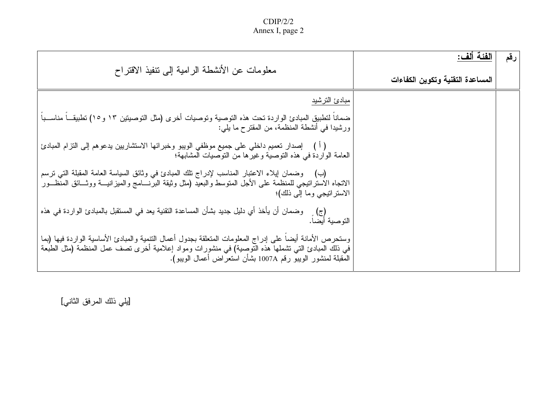# CDIP/2/2<br>Annex I, page 2

| معلومات عن الأنشطة الرامية إلى نتفيذ الاقتراح                                                                                                                                                                                                                                  | الفئة ألف:<br>المساعدة التقنية وتكوين الكفاءات | رقم |
|--------------------------------------------------------------------------------------------------------------------------------------------------------------------------------------------------------------------------------------------------------------------------------|------------------------------------------------|-----|
| مبادئ الترشيد<br>ضمانا لتطبيقِ المبادئ الواردة تحت هذه التوصية وتوصيات أخرى (مثل التوصيتين ١٣ و١٥) تطبيقـــاً مناســـباً<br>ورشيدا في أنشطة المنظمة، من المقترح ما يلي:                                                                                                        |                                                |     |
| ( أ )    إصدار  تعميم داخلي على جميع موظفي الويبو  وخبر ائها الاستشاريين يدعوهم إلى التز ام المبادئ<br>العامة الواردة في هذه التوصية وغيرها من التوصيات المشابهة؛                                                                                                              |                                                |     |
| وضمان إيلاء الاعتبار المناسب لإدراج تلك المبادئ في وثائق السياسة العامة المقبلة التي نرسم<br>(ب)<br>الاتجاه الأستراتيجي للمنظمة على الأجل المنوسط والبعيد (مثل وثيقة البرنــــامج والمبزانيــــة ووثـــائق المنظـــور<br>الاستراتيجي وما إلى ذلك)؛                             |                                                |     |
| (ج) ۗ وضمان أن يأخذ أي دليل جديد بشأن المساعدة النقنية يعد في المستقبل بالمبادئ الواردة في هذه<br>التو صية أيضا.                                                                                                                                                               |                                                |     |
| وستحرص الأمانة أيضا على إدراج المعلومات المنعلقة بجدول أعمال التنمية والمبادئ الأساسية الواردة فيها (بما<br>في ذلك المبادئ التي نشملها هذه التَّوصية) في منشورات ومواد إعلامية أخرى نصف عمل المنظمة (مثل الطبعة<br>المقبلة لمنشور الويبو رقم 1007A بشأن استعراض أعمال الويبو). |                                                |     |

[يلي ذلك المرفق الثاني]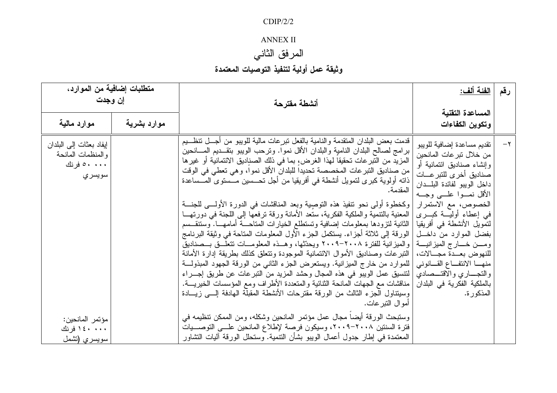#### $CDIP/2/2$

### **ANNEX II**

## المرفق الثاني

## وثيقة عمل أولية لتنفيذ التوصيات المعتمدة

| متطلبات إضافية من الموارد،<br>إن وجدت                                 |             | أنشطة مقترحة                                                                                                                                                                                                                                                                                                                                                                                                                                                                                                                                                                                                                                                                                                                                                                                                                                                                                                                                                                                                                                                                                                                                                                                                                                                                                                                                                                                                                                            | <u>الفئة ألف:</u>                                                                                                                                                                                                                                                                                                                | رقم     |
|-----------------------------------------------------------------------|-------------|---------------------------------------------------------------------------------------------------------------------------------------------------------------------------------------------------------------------------------------------------------------------------------------------------------------------------------------------------------------------------------------------------------------------------------------------------------------------------------------------------------------------------------------------------------------------------------------------------------------------------------------------------------------------------------------------------------------------------------------------------------------------------------------------------------------------------------------------------------------------------------------------------------------------------------------------------------------------------------------------------------------------------------------------------------------------------------------------------------------------------------------------------------------------------------------------------------------------------------------------------------------------------------------------------------------------------------------------------------------------------------------------------------------------------------------------------------|----------------------------------------------------------------------------------------------------------------------------------------------------------------------------------------------------------------------------------------------------------------------------------------------------------------------------------|---------|
| موارد مالية                                                           | موارد بشرية |                                                                                                                                                                                                                                                                                                                                                                                                                                                                                                                                                                                                                                                                                                                                                                                                                                                                                                                                                                                                                                                                                                                                                                                                                                                                                                                                                                                                                                                         | المساعدة التقنية<br>وتكوين الكفاءات                                                                                                                                                                                                                                                                                              |         |
| إيفاد بعثات إلى البلدان<br>والمنظمات المانحة<br>۰۰۰ ۵۰ فرنك<br>سويسري |             | قدمت بعض البلدان المنقدمة والنامية بالفعل نبرعات مالية للويبو من أجـــل نتظـــيم<br>برامج لصالح البلدان النامية والبلدان الأقل نموا. ونرحب الويبو بتقــديم المـــانحين<br>المزيد من النبر عات تحقيقا لهذا الغرض، بما في ذلك الصناديق الائتمانية أو غير ها<br>من صناديق التبرعات المخصصة تحديدا للبلدان الأقل نموا، وهي تعطي في الوقت<br>ذاته أولوية كبرى لتمويل أنشطة في أفريقيا من أجل تحـــسين مـــستوى المـــساعدة<br>المقدمة.<br> وكخطوة أولى نحو تنفيذ هذه التوصبية وبعد المناقشات في الدورة الأولـــي للجنـــة<br>المعنية بالتنمية والملكية الفكرية، سنعد الأمانة ورقة ترفعها إلى اللجنة في دورتهـــا<br>  الثانية لنزودها بمعلومات إضافية وتستطلع الخيارات المتاحـــة أمامهـــا. وستتقـــسم<br>بفضل الموارد من داخــــل   الورقة إلـي ثلاثة أجزاء. يستكمل الجزء الأول المعلومات المتاحة في وثيقة البرنامج<br>ومــــن خــــــارج المميزانيــــة  والمميزانية للفترة ٢٠٠٨-٢٠٠٩ ويحدّثها، وهـــذه المعلومــــات تتعلـــق بـــصناديق<br>للنهوض بعـــدة مجــــالات،   النبر عات وصناديق الأموال الائتمانية الموجودة ونتعلق كذلك بطريقة إدارة الأمانة<br>منهــــا الانتفــــاع القــــانونــى   للموارد من خار ج الميزانية. ويستعرض الـجز ء الثانــى من الورقة الجهود المبذولــــة<br>  لتتسيق عمل الويبو في هذه المجال وحشد المزيد من النبر عات عن طريق إجـــراء<br>مناقشات مع الجهات المانحة الثنائية والمتعددة الأطراف ومع المؤسسات الخيريــــة.<br>وسيتناول الجزء الثالث من الورقة مقترحات الأنشطة المقبلة الهادفة إلسي زيسادة<br>أموال النبر عات. | تقديم مساعدة إضافية للويبو<br>من خلال تبر عات المانحين<br>وإنشاء صناديق ائتمانية أو<br>صناديق أخرى للتبر عسات<br>داخل الويبو لفائدة البلـــدان<br>الأقل نمسوا علسى وجسه<br>الخصوص، مع الاستمرار<br>في إعطاء أوليسة كبـــري<br>لتمويل الأنشطة في أفريقيا<br>والتجـــاري والاقتـــصادي<br>بالملكية الفكرية في البلدان<br>المذكورة. | $-\tau$ |
| مؤتمر المانحين:<br>۱٤۰ ۱٤۰ فرنك<br>سويسري (تشمل                       |             | وستبحث الورقة أيضا مجال عمل مؤتمر المانحين وشكله، ومن الممكن تنظيمه في<br>فترة السنتين ٢٠٠٨–٢٠٠٩، وسيكون فرصة لإطلاع المانحين علـــي التوصـــيات<br>المعتمدة في إطار جدول أعمال الويبو بشأن التنمية. وستحلل الورقة أليات التشاور                                                                                                                                                                                                                                                                                                                                                                                                                                                                                                                                                                                                                                                                                                                                                                                                                                                                                                                                                                                                                                                                                                                                                                                                                        |                                                                                                                                                                                                                                                                                                                                  |         |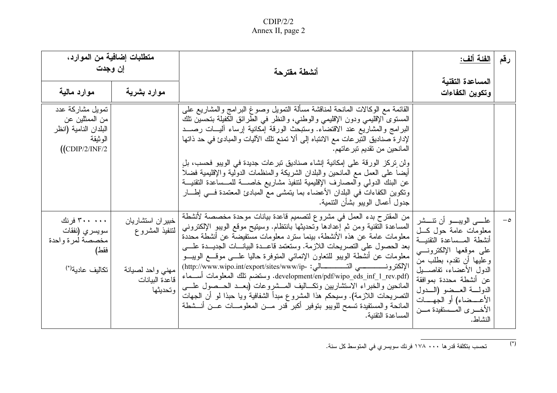### $CDIP/2/2$ Annex II, page 2

|                                                                                                             | متطلبات إضافية من الموارد،<br>إن وجدت                                                 | أنشطة مقترحة                                                                                                                                                                                                                                                                                                                                                                                                                                                                                                                                                                                                                                                                                                                                                       | ا <u>لفئة ألف:</u>                                                                                                                                                                                                                                                                                      | رقم      |
|-------------------------------------------------------------------------------------------------------------|---------------------------------------------------------------------------------------|--------------------------------------------------------------------------------------------------------------------------------------------------------------------------------------------------------------------------------------------------------------------------------------------------------------------------------------------------------------------------------------------------------------------------------------------------------------------------------------------------------------------------------------------------------------------------------------------------------------------------------------------------------------------------------------------------------------------------------------------------------------------|---------------------------------------------------------------------------------------------------------------------------------------------------------------------------------------------------------------------------------------------------------------------------------------------------------|----------|
| موارد مالية                                                                                                 | موارد بشرية                                                                           |                                                                                                                                                                                                                                                                                                                                                                                                                                                                                                                                                                                                                                                                                                                                                                    | المساعدة التقنية<br>وتكوين الكفاءات                                                                                                                                                                                                                                                                     |          |
| تمويل مشاركة عدد<br>من الممثلين عن<br>البلدان النامية (انظر<br>الو ثيقة<br>$\frac{1}{\text{[CDIP/2/INF/2}}$ |                                                                                       | القائمة مع الوكالات المانحة لمناقشة مسألة التمويل وصوغ البر امج والمشاريع على<br>المستوى الإقليمي ودون الإقليمي والوطني، والنظر في الطرائق الكفيلة بتحسين نلك<br>البرامج والمشاريع عند الاقتضاء. وستبحث الورقة إمكانية إرساء أليـــات رصــــد<br>لإدارة صناديق التبر عات مع الانتباه إلى ألا تمنع تلك الأليات والمبادئ في حد ذاتها<br>المانحين من تقديم تبر عاتهم.<br>ولن تِركز الورقة على إمكانية إنشاء صناديق تبرعات جديدة في الويبو فحسب، بلِ<br>أيضا على العمل مع المانحين والبلدان الشريكة والمنظمات الدولية والإقليمية فضلا<br>عن البنك الدولمي والمصارف الإقليمية لتتفيذ مشاريع خاصـــة للمـــساعدة التقنيـــة<br>وتكوين الكفاءات في البلدان الأعضاء بما يتمشى مع المبادئ المعتمدة فسي إطـــار<br>جدول أعمال الويبو بشأن التتمية.                           |                                                                                                                                                                                                                                                                                                         |          |
| ۳۰۰ . ۳۰۰ فرنك<br>سويسري (نفقات<br>مخصصة لمرة واحدة<br>فقط)<br>تكاليف عادية <sup>(*)</sup>                  | خبير ان استشاريان<br>لنتفيذ المشروع<br>مهنى واحد لصيانة<br>قاعدة البيانات<br>وتحديثها | من المقترح بدء العمل في مشروع لتصميم قاعدة بيانات موحدة مخصصة لأنشطة<br>المساعدة النقنية ومن ثم إعدادها وتحديثها بانتظام. وسيتيح موقع الويبو الإلكتروني<br>معلومات عامة عن هذه الأنشطة، بينما سترد معلومات مستفيضة عن أنشطة محددة<br>  بعد الحصول على التصريحات اللازمة. وستعتمد قاعــدة البيانــــات الـجديـــدة علــــي<br>معلومات عن أنشطة الويبو للتعاون الإنمائي المتوفرة حاليا علـــي موقـــع الويبـــو<br>development/en/pdf/wipo_eds_inf_1_rev.pdf). وستضم تلك المعلومات أســماء<br>المانحين والخبراء الاستشاربين ونكـــاليف المـــشروعات (بعـــد الـحــصول علــــي<br>التصريحات اللازمة). وسيحكم هذا المشروع مبدأ الشفافية ويا حبذا لو أن الجهات<br>المانحة والمستفيدة تسمح للوبيو بتوفير أكبر قدر مـــن المعلومـــات عـــن أنـــشطة<br>المساعدة التقنية. | علــــي الويبــــــو أن نتـــــشر<br>معلومات عامة حول كـــل<br>أنشطة المسساعدة التقنيسة<br>على موقعها الإلكترونسي<br>وعليها أن تقدم، بطلب من<br>الدول الأعضاء، تفاصـــيل<br>عن أنشطة محددة بموافقة<br>الدولسة العسضو (السدول<br>الأعـــضاء) أو الجهــــات<br>الأخـــر ى المــــستفيدة مــــن<br>النشاط. | $-\circ$ |

 $(\ast)$ تحسب بتكلفة قدر ها ١٧٨ ٠٠٠ فرنك سويسري في المتوسط كل سنة.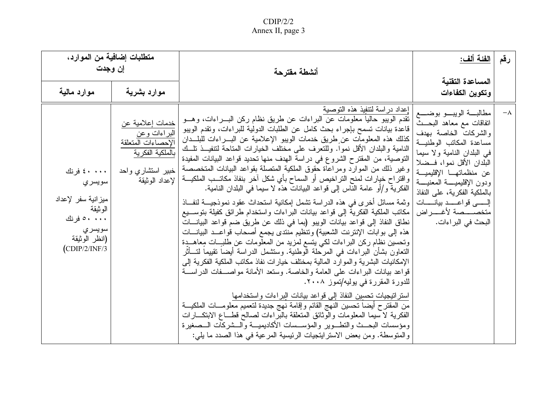# CDIP/2/2<br>Annex II, page 3

| اِن وجدت                                                                                                                                                  | متطلبات إضافية من الموارد،                                                                                            | أنشطة مقترحة                                                                                                                                                                                                                                                                                                                                                                                                                                                                                                                                                                                                                                                                                                                                                                                                                                                                                                                                                                                                                                                                                                                                                                                                                                                                                                                                                                                                                                                                                                                                                                                                                                                                                                                                                                                              | <u>الفئة ألف:</u>                                                                                                                                                                                                                                                                                                                            | رقم        |
|-----------------------------------------------------------------------------------------------------------------------------------------------------------|-----------------------------------------------------------------------------------------------------------------------|-----------------------------------------------------------------------------------------------------------------------------------------------------------------------------------------------------------------------------------------------------------------------------------------------------------------------------------------------------------------------------------------------------------------------------------------------------------------------------------------------------------------------------------------------------------------------------------------------------------------------------------------------------------------------------------------------------------------------------------------------------------------------------------------------------------------------------------------------------------------------------------------------------------------------------------------------------------------------------------------------------------------------------------------------------------------------------------------------------------------------------------------------------------------------------------------------------------------------------------------------------------------------------------------------------------------------------------------------------------------------------------------------------------------------------------------------------------------------------------------------------------------------------------------------------------------------------------------------------------------------------------------------------------------------------------------------------------------------------------------------------------------------------------------------------------|----------------------------------------------------------------------------------------------------------------------------------------------------------------------------------------------------------------------------------------------------------------------------------------------------------------------------------------------|------------|
| موارد مالية                                                                                                                                               | موارد بشرية                                                                                                           |                                                                                                                                                                                                                                                                                                                                                                                                                                                                                                                                                                                                                                                                                                                                                                                                                                                                                                                                                                                                                                                                                                                                                                                                                                                                                                                                                                                                                                                                                                                                                                                                                                                                                                                                                                                                           | المساعدة التقنية<br>وتكوين الكفاءات                                                                                                                                                                                                                                                                                                          |            |
| ۰۰۰ ، ٤ فرنك<br>سويسري<br>ميز انية سفر  لإعداد<br>الو ثيقة<br>۰۰۰ ۵۰ فرنك<br>سويسري<br>(انظر الوثيقة<br>$\left(\frac{\text{CDIP}}{2}/\text{INF}/3\right)$ | خدمات إعلامية عن<br>البراءات وعن<br>الإحصاءات المتعلقة<br>بالملكية الفكرية<br>  خبير استشاري واحد<br>  لإعداد الوثيقة | إعداد دراسة لتنفيذ هذه التوصية<br>تقدم الويبو حاليا معلومات عن البراءات عن طريق نظام ركن البــــراءات، وهــــو<br>قاعدة بيانات تسمح بإجراء بحث كامل عن الطلبات الدولية للبراءات، وتقدم الويبو<br>كذلك هذه المعلومات عن طريق خدمات الويبو الإعلامية عن البـــراءات للبلـــدان<br>النامية والبلدان الأقل نموا. وللتعرف على مختلف الخيارات المتاحة لتتفيــذ تلــك<br>التوصية، من المقترح الشروع في دراسة الهدف منها تحديد قواعد البيانات المفيدة<br>وغير ذلك من الموارد ومراعاة حقوق الملكية المتصلة بقواعد البيانات المتخصصة<br>  واقتراح خيارات لمنح التراخيص أو السماح بأي شكل أخر بنفاذ مكاتــب الملكيـــة<br>الفكرية و/أو عامة الناس إلى قواعد البيانات هذه لا سيما في البلدان النامية.<br>  وثمة مسائل أخرى في هذه الدراسة نشمل إمكانية استحداث عقود نموذجيـــة لنفـــاذ<br>مكاتب الملكية الفكرية إلى قواعد بيانات البراءات واستخدام طرائق كفيلة بتوســيع<br>نطاق النفاذ إلى قواعد بيانات الويبو (بما في ذلك عن طريق ضم قواعد البيانـــات<br>هذه إلى بوابات الإنترنت الشعبية) وتنظيم منتدى يجمع أصحاب قواعــد البيانـــات<br>وتحسين نظام ركن البراءات لكي يتسع لمزيد من المعلومات عن طلبسات مِعاهــدة<br>النعاون بشأن البراءات في المرحلة الوطنية. وستشمل الدراسة أيضا نقييما لتـــأثر<br>الإمكانيات البشرية والموارد المالية بمختلف خيارات نفاذ مكاتب الملكية الفكرية إلى<br>قواعد بيانات البراءات على العامة والخاصة. وستعد الأمانة مواصـــفات الدراســـة<br>للدورة المقررة في يوليه/تموز ٢٠٠٨.<br>استر انيجيات تحسين النفاذ إلى قواعد بيانات البر اءات واستخدامها<br>من المقترح أيضا تحسين النهج القائم وإقامة نهج جديدة لتعميم معلومـــات الملكيـــة<br>الفكرية لا سيما المعلومات والوثائق المنعلقة بالبراءات لصالح قطـــاع الابتكـــارات<br>ومؤسسات البحــث والنطــوير والمؤســسات الأكاديميـــة والـــشركات الـــصغيرة<br>والمتوسطة. ومن بعض الاسترايتجيات الرئيسية المرعية في هذا الصدد ما يلي: | مطالبسة الويبسو بوضسع<br>اتفاقات مع معاهد البحـــث<br>والشركات الخاصة بهدف<br>مساعدة المكاتب الوطنية<br>في البلدان النامية ولا سيما<br>البلدان الأقل نموا، فــضلا<br>عن منظماتهـــا الإقليميـــة<br>ودون الإقليميــــة المعنيــــة<br>بالملكية الفكرية، على النفاذ<br>إلىسى قواعسد بيانسات<br>متخصــــصة لأغـــــر اض<br>البحث في البر اءات. | $-\lambda$ |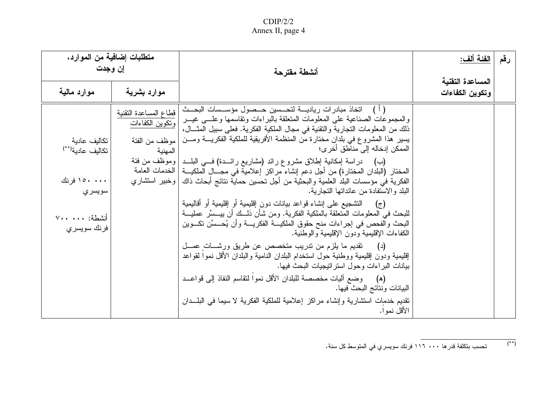### $CDIP/2/2$ Annex II, page 4

| إن وجدت                                                                                      | متطلبات إضافية من الموارد،                                                    | أنشطة مقترحة                                                                                                                                                                                                                                                                                                                                                                                                                                                                                                                                                                                                                                                                                                                                                                                                                                                                                                                                                                                                                                                                                                                                                                                                                                                                                                                                                                                                                                                                 | الفئة <u>آلف:</u>                   | رقم |
|----------------------------------------------------------------------------------------------|-------------------------------------------------------------------------------|------------------------------------------------------------------------------------------------------------------------------------------------------------------------------------------------------------------------------------------------------------------------------------------------------------------------------------------------------------------------------------------------------------------------------------------------------------------------------------------------------------------------------------------------------------------------------------------------------------------------------------------------------------------------------------------------------------------------------------------------------------------------------------------------------------------------------------------------------------------------------------------------------------------------------------------------------------------------------------------------------------------------------------------------------------------------------------------------------------------------------------------------------------------------------------------------------------------------------------------------------------------------------------------------------------------------------------------------------------------------------------------------------------------------------------------------------------------------------|-------------------------------------|-----|
| موارد مالية                                                                                  | موارد بشرية                                                                   |                                                                                                                                                                                                                                                                                                                                                                                                                                                                                                                                                                                                                                                                                                                                                                                                                                                                                                                                                                                                                                                                                                                                                                                                                                                                                                                                                                                                                                                                              | المساعدة التقنية<br>وتكوين الكفاءات |     |
| تكاليف عادية<br>تكاليف عادية''*'<br>۱۰۰۰ ۱۵۰ فرنك<br>سويسري<br>أنشطة: ٧٠٠ ٧٠٠<br>فرنك سويسري | قطاع المساعدة التقنية<br><u>وتكوين الكفاءات</u><br>  موظف من الفئة<br>المهنية | ( أ )     اتخاذ مبادر ات رياديـــة لتحــسين حــصول مؤســسات البحــث<br>والمجموعات الصناعية على المعلومات المتعلقة بالبراءات وتقاسمها وعلسى غيسر<br>ذلك من المعلومات النجارية والنقنية في مجال الملكية الفكرية. فعلى سبيل المثـــال،<br>يسير  هذا المشروع في بلدان مختارة من المنظمة الأفريقية للملكية الفكريــــة ومــــن<br>الممكن إدخاله إلى مناطق أخر ي؛<br>(ب)       دراسة إمكانية إطلاق مشروع رائد (مشاريع رائـــدة) فــــى البلـــد   وموظف من فئة<br>المختار (البلدان المختار ة) من أجل دعم إنشاء مراكز إعلامية في مجـــال الملكيــــة   الخدمات العامة<br>الفكرية في مؤسسات البلد العلمية والبحثية من أجل تحسين حماية نتائج أبحاث ذاك   وخبير استثناري<br>البلد والاستفادة من عائداتها التجارية.<br>(ج)     التشجيع على إنشاء قواعد بيانات دون إقليمية أو إقليمية أو أقاليمية<br>للبحث في المعلومات المتعلقة بالملكية الفكرية. ومن شأن ذلـــك أن بيــــسِّر عمليــــة<br>البحث والفحص في إجراءات منح حقوق الملكيـــة الفكريـــة وأن يُحـــسِّن تكـــوين<br>الكفاءات الإقليمية ودون الإقليمية والوطنية.<br>تقديم ما يلزم من تدريب متخصص عن طريق ورشــــاتٍ عمــــل<br>$\left( \begin{array}{c} 2 \end{array} \right)$<br>إقليمية ودون إقليمية ووطنية حول استخدام البلدان النامية والبلدان الأقل نموا لقواعد<br>بيانات البراءات وحول استراتيجيات البحث فيها.<br>وضع أليات مخصصة للبلدان الأقل نموا لنقاسم النفاذ إلىي قواعــد<br>(A)<br>البيانات ونتائج البحث فيها.<br>نقديم خدمات استشارية وإنشاء مراكز إعلامية للملكية الفكرية لا سيما في البلـــدان<br>الأقل نمو ا. |                                     |     |

 $(*)$ تحسب بتكلفة قدر ها ١١٠ ٦ ٦ أفرنك سويسري في المتوسط كل سنة.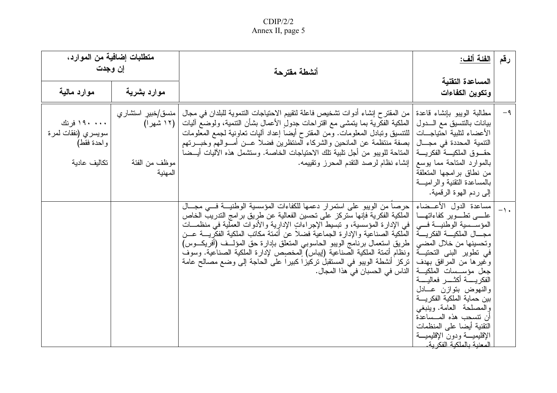# CDIP/2/2<br>Annex II, page 5

| متطلبات إضافية من الموارد،<br>إن وجدت                            |                          | أنشطة مقترحة                                                                                                                                                                                                                                                                                                                                                                                                                                                                                                                                                                                                                                              | <u>الفئة ألف:</u>                                                                                                                                                                                                                                                                                                                                                                                                                                   | رقم   |
|------------------------------------------------------------------|--------------------------|-----------------------------------------------------------------------------------------------------------------------------------------------------------------------------------------------------------------------------------------------------------------------------------------------------------------------------------------------------------------------------------------------------------------------------------------------------------------------------------------------------------------------------------------------------------------------------------------------------------------------------------------------------------|-----------------------------------------------------------------------------------------------------------------------------------------------------------------------------------------------------------------------------------------------------------------------------------------------------------------------------------------------------------------------------------------------------------------------------------------------------|-------|
| موارد مالية                                                      | موارد بشرية              |                                                                                                                                                                                                                                                                                                                                                                                                                                                                                                                                                                                                                                                           | المساعدة التقنية<br>وتكوين الكفاءات                                                                                                                                                                                                                                                                                                                                                                                                                 |       |
| ۱۹۰ ۱۹۰ فرنك<br>سويسري (نفقات لمرة<br>واحدة فقط)<br>تكاليف عادية | موظف من الفئة<br>المهنية | من المقترح إنشاء أدوات تشخيص فاعلة لتقييم الاحتياجات التتموية للبلدان في مجال   منسق/خبيرٍ استشار ي<br>الملكية الفكرية بما يتمشى مع اقتراحات جدول ِالأعمال بشأن التتمية، ولوضع أليات   (١٢ شهرا)<br>  للتنسيق وننبادل المعلومات. ومن المقترح أيضـًا إعداد أليِّات نعاونية لـجمع المعلومات<br>بصفة منتظمة عن المانحين والشركاء المنتظرين فضلا عـــن أمـــوالـهم وخبــــرتـهم<br>المتاحة للويبو من أجل تلبية تلك الاحتياجات الخاصة. وستشمل هذه الآليات أيـــضا<br>  إنشاء نظام لرصد النقدم المحرز ونقييمه.                                                                                                                                                  | مطالبة الويبو بإنشاء قاعدة<br>بيانات بالنتسيق مع السدول<br>الأعضاء لتلبية احتياجسات<br>النتمية المحددة في مجـــال<br>حقسوق الملكيسة الفكريسة<br>بالموارد المتاحة مما يوسع<br>من نطاق برامجها المتعلقة<br>بالمساعدة التقنية والر اميسة<br>إلى ردم الهوة الرقمية.                                                                                                                                                                                     | $-9$  |
|                                                                  |                          | حرصا من الويبو على استمرار دعمها للكفاءات المؤسسية الوطنيـــة فـــى مجـــال<br>] الملكية الفكرية فإنها ستركز  على تحسين الفعالية عن طريق بر امج التدريب الخاص<br>في الإدارة المؤسسية، و تبسيط الإجراءاتِ الإدارية والأدوات العمَّلية في منظمـــات<br>مجــــال الملكيــــة الفكريــــة   الملكية الصناعية والإدار ة الجماعية فضلا عن أتمتة مكاتب الملكية الفكريــــة عـــن<br> طريق استعمال برنامج الويبو الحاسوبي المتعلق بإدارة حق المؤلــف (أفريكـــوس)<br>] ونظام أتمتة الملكية الصناعية (إيباس) المخصص لإدارة الملكية الصناعية. وسوف<br>تركز أنشطة الويبو في المستقبل تركيزًا كبيرًا على الحاجة إلى وضع مصالح عامة<br>الناس في الحسبان في هذا المجال. | مساعدة الدول الأعــضاء<br>علـــــــــــ تطـــــــو بر کفاءاتھــــا<br>المؤســـسية الوطنيـــة فــــى<br>وتحسينها من خلال المضي<br>في تطوير البني التحتيـــة<br>وغيرها من المرافق بهدف<br>جعل مؤســـسات الملكيـــة<br>الفكريسة أكثسر فعاليسة<br>والنهوض بتوازن عسادل<br>بين حماية الملكية الفكر يــــة<br>والمصلحة العامة. وينبغي<br>أن نتسحب هذه المــساعدة<br>التقنية أيضا على المنظمات<br>الإقليميسة ودون الإقليميسة<br>المعنبة بالملكبة الفكر بة. | $-1.$ |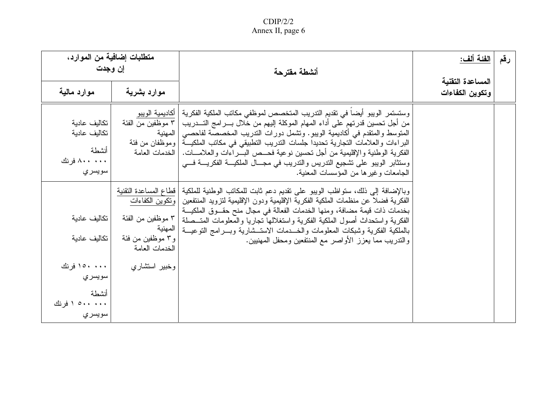# CDIP/2/2<br>Annex II, page 6

| متطلبات إضافية من الموارد،<br>إن وجدت                           |                                                                     | أنشطة مقترحة                                                                                                                                                                                                                                                                                                                                                                                                                                                                                                                                                                                               | <u>الفئة ألف:</u>                   | رقم |
|-----------------------------------------------------------------|---------------------------------------------------------------------|------------------------------------------------------------------------------------------------------------------------------------------------------------------------------------------------------------------------------------------------------------------------------------------------------------------------------------------------------------------------------------------------------------------------------------------------------------------------------------------------------------------------------------------------------------------------------------------------------------|-------------------------------------|-----|
| موارد مالية                                                     | موارد بشرية                                                         |                                                                                                                                                                                                                                                                                                                                                                                                                                                                                                                                                                                                            | المساعدة التقنية<br>وتكوين الكفاءات |     |
| تكاليف عادية<br>تكاليف عادية<br>أنشطة<br>۸۰۰ ۸۰۰ فرنك<br>سويسري | ٣ موظفين من الفئة                                                   | وستستمر الويبو أيضا في تقديم التدريب المتخصص لموظفي مكاتب الملكية الفكرية   أكاديمية الويبو<br>من أجل تحسين قدرتهم على أداء المهام الموكلة إليهم من خلال بــــر امج التــــدريب<br>المتوسط والمتقدم في أكاديمية الويبو. وتشمل دورات التدريب المخصصة لفاحصبي   المهنية<br>البراءات والعلامات التجارية تحديدا جلسات التدريب التطبيقي في مكاتب الملكيـــة   وموظفان من فئة<br>الفكرية الوطنية والإقليمية من أجل تحسين نوعية فحـــص البــــراءات والعلامــــات.   الخدمات العامة<br>وستثابر الويبو على تشجيع التدريس والتدريب في مجـــال الملكيـــة الفكريــــة فــــي<br>الجامعات وغيرها من المؤسسات المعنية. |                                     |     |
| تكاليف عادية<br>تكاليف عادية                                    | ٣ موظفين من الفئة<br>المهنية<br>و ٣ موظفين من فئة<br>الخدمات العامة | وبالإضافة إلى ذلك، ستواظب الويبو على نقديم دعم ثابت للمكاتب الوطنية للملكية   قطاع المساعدة التقنية<br>الفكرية فضلا عن منظمات الملكية الفكرية الإقليمية ودون الإقليمية لتزويد المنتفعين   ونكوين الكفاءات<br>بخدمات ذات قيمة مضافة، ومنها الخدمات الفعالة في مجال منح حقــوق الملكيـــة<br>الفكرية واستحداث أصول الملكية الفكرية واستغلالها تجاريا والمعلومات المتــصلة<br>بالملكية الفكرية وشبكات المعلومات والخسدمات الاستسشارية وبسرامج التوعيسة<br>والندريب مما يعزز الأواصر مع المنتفعين ومحفل المهنيين.                                                                                              |                                     |     |
| ۱۰۰۰ ۱۵۰ فرنك<br>سويسري<br>أنشطة<br>۰۰۰ ۱۰۰ ۱ فرنك<br>سويسري    | وخبير استشاري                                                       |                                                                                                                                                                                                                                                                                                                                                                                                                                                                                                                                                                                                            |                                     |     |